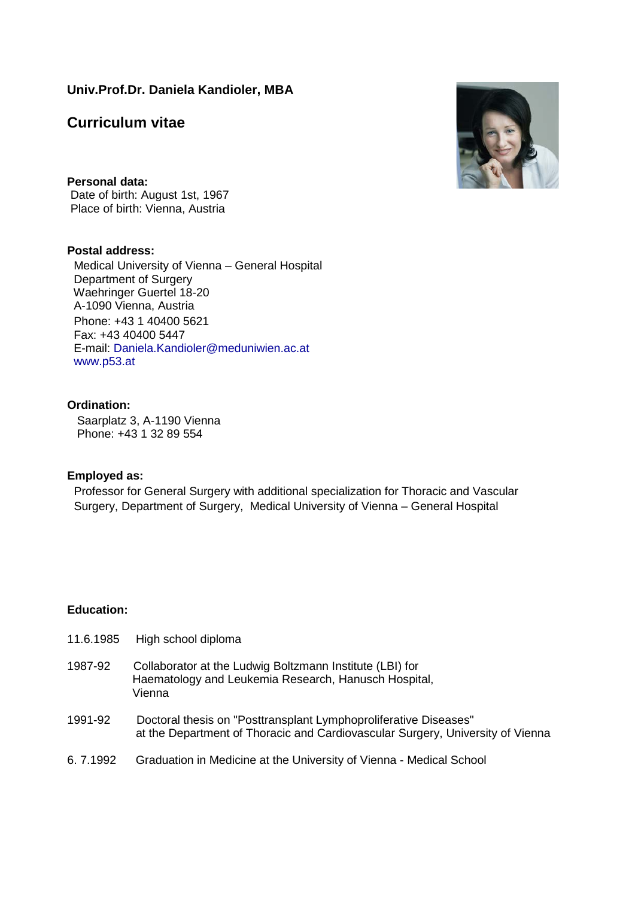## **Univ.Prof.Dr. Daniela Kandioler, MBA**

# **Curriculum vitae**

**Personal data:**  Date of birth: August 1st, 1967 Place of birth: Vienna, Austria

#### **Postal address:**

Medical University of Vienna – General Hospital Department of Surgery Waehringer Guertel 18-20 A-1090 Vienna, Austria Phone: +43 1 40400 5621 Fax: +43 40400 5447 E-mail: [Daniela.Kandioler@meduniwien.ac.at](mailto:Daniela.Kandioler@meduniwien.ac.at) [www.p53.at](http://www.p53.at/)

#### **Ordination:**

Saarplatz 3, A-1190 Vienna Phone: +43 1 32 89 554

#### **Employed as:**

Professor for General Surgery with additional specialization for Thoracic and Vascular Surgery, Department of Surgery, Medical University of Vienna – General Hospital

#### **Education:**

| 11.6.1985 | High school diploma                                                                                                                                |
|-----------|----------------------------------------------------------------------------------------------------------------------------------------------------|
| 1987-92   | Collaborator at the Ludwig Boltzmann Institute (LBI) for<br>Haematology and Leukemia Research, Hanusch Hospital,<br>Vienna                         |
| 1991-92   | Doctoral thesis on "Posttransplant Lymphoproliferative Diseases"<br>at the Department of Thoracic and Cardiovascular Surgery, University of Vienna |
| 6.7.1992  | Graduation in Medicine at the University of Vienna - Medical School                                                                                |

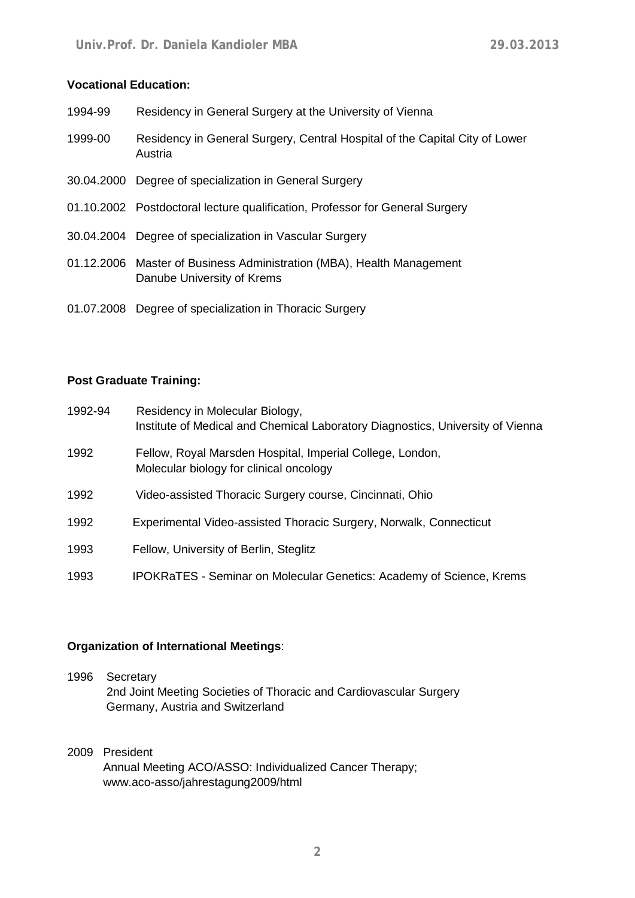# **Vocational Education:**

| 1994-99 | Residency in General Surgery at the University of Vienna                                            |
|---------|-----------------------------------------------------------------------------------------------------|
| 1999-00 | Residency in General Surgery, Central Hospital of the Capital City of Lower<br>Austria              |
|         | 30.04.2000 Degree of specialization in General Surgery                                              |
|         | 01.10.2002 Postdoctoral lecture qualification, Professor for General Surgery                        |
|         | 30.04.2004 Degree of specialization in Vascular Surgery                                             |
|         | 01.12.2006 Master of Business Administration (MBA), Health Management<br>Danube University of Krems |
|         | 01.07.2008 Degree of specialization in Thoracic Surgery                                             |

#### **Post Graduate Training:**

| 1992-94 | Residency in Molecular Biology,<br>Institute of Medical and Chemical Laboratory Diagnostics, University of Vienna |
|---------|-------------------------------------------------------------------------------------------------------------------|
| 1992    | Fellow, Royal Marsden Hospital, Imperial College, London,<br>Molecular biology for clinical oncology              |
| 1992    | Video-assisted Thoracic Surgery course, Cincinnati, Ohio                                                          |
| 1992    | Experimental Video-assisted Thoracic Surgery, Norwalk, Connecticut                                                |
| 1993    | Fellow, University of Berlin, Steglitz                                                                            |
| 1993    | <b>IPOKRaTES - Seminar on Molecular Genetics: Academy of Science, Krems</b>                                       |

## **Organization of International Meetings**:

- 1996 Secretary 2nd Joint Meeting Societies of Thoracic and Cardiovascular Surgery Germany, Austria and Switzerland
- 2009 President Annual Meeting ACO/ASSO: Individualized Cancer Therapy; www.aco-asso/jahrestagung2009/html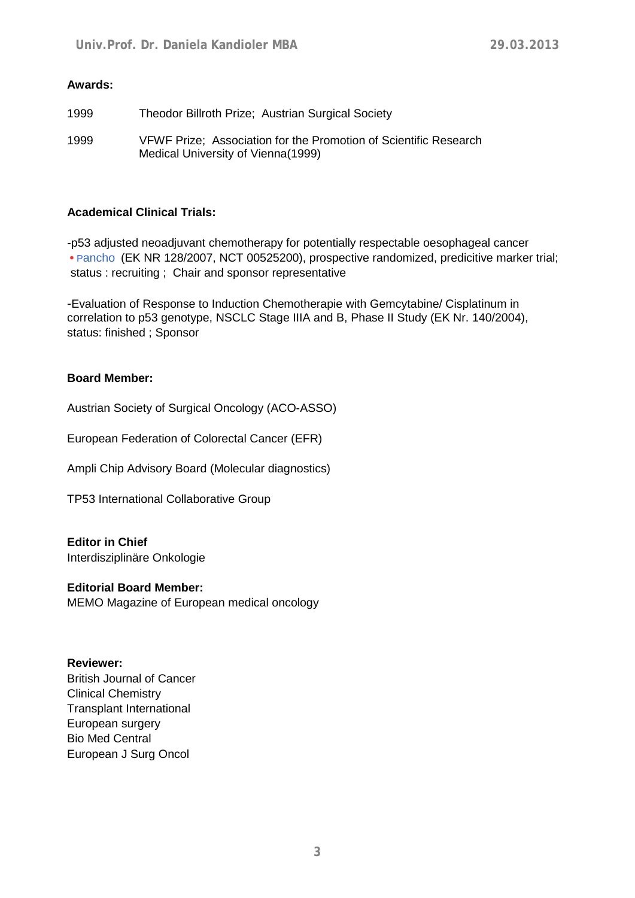## **Awards:**

| 1999 | Theodor Billroth Prize; Austrian Surgical Society                                                       |
|------|---------------------------------------------------------------------------------------------------------|
| 1999 | VFWF Prize: Association for the Promotion of Scientific Research<br>Medical University of Vienna (1999) |

## **Academical Clinical Trials:**

-p53 adjusted neoadjuvant chemotherapy for potentially respectable oesophageal cancer **•** Pancho (EK NR 128/2007, NCT 00525200), prospective randomized, predicitive marker trial; status : recruiting ; Chair and sponsor representative

-Evaluation of Response to Induction Chemotherapie with Gemcytabine/ Cisplatinum in correlation to p53 genotype, NSCLC Stage IIIA and B, Phase II Study (EK Nr. 140/2004), status: finished ; Sponsor

## **Board Member:**

Austrian Society of Surgical Oncology (ACO-ASSO)

European Federation of Colorectal Cancer (EFR)

Ampli Chip Advisory Board (Molecular diagnostics)

TP53 International Collaborative Group

# **Editor in Chief**

Interdisziplinäre Onkologie

#### **Editorial Board Member:**

MEMO Magazine of European medical oncology

#### **Reviewer:**

British Journal of Cancer Clinical Chemistry Transplant International European surgery Bio Med Central European J Surg Oncol